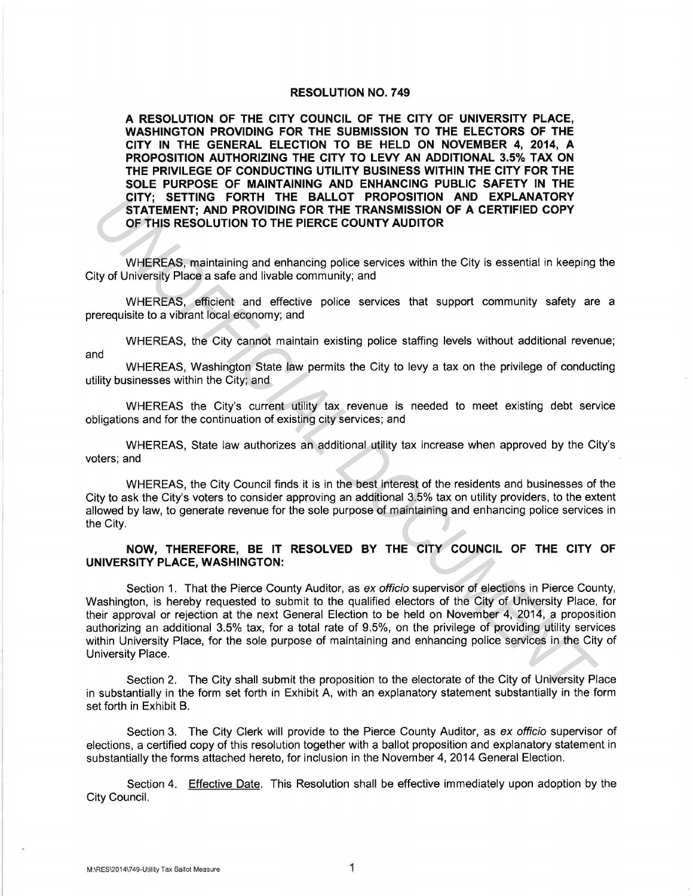#### **RESOLUTION NO. 7 49**

**A RESOLUTION OF THE CITY COUNCIL OF THE CITY OF UNIVERSITY PLACE, WASHINGTON PROVIDING FOR THE SUBMISSION TO THE ELECTORS OF THE CITY IN THE GENERAL ELECTION TO BE HELD ON NOVEMBER 4, 2014, A PROPOSITION AUTHORIZING THE CITY TO LEVY AN ADDITIONAL 3.5% TAX ON THE PRIVILEGE OF CONDUCTING UTILITY BUSINESS WITHIN THE CITY FOR THE SOLE PURPOSE OF MAINTAINING AND ENHANCING PUBLIC SAFETY IN THE CITY; SETTING FORTH THE BALLOT PROPOSITION AND EXPLANATORY STATEMENT; AND PROVIDING FOR THE TRANSMISSION OF A CERTIFIED COPY OF THIS RESOLUTION TO THE PIERCE COUNTY AUDITOR** 

WHEREAS, maintaining and enhancing police services within the City is essential in keeping the City of University Place a safe and livable community; and

WHEREAS, efficient and effective police services that support community safety are a prerequisite to a vibrant local economy; and

WHEREAS, the City cannot maintain existing police staffing levels without additional revenue; and

WHEREAS, Washington State law permits the City to levy a tax on the privilege of conducting utility businesses within the City; and

WHEREAS the City's current utility tax revenue is needed to meet existing debt service obligations and for the continuation of existing city services; and

WHEREAS, State law authorizes an additional utility tax increase when approved by the City's voters; and

WHEREAS, the City Council finds it is in the best interest of the residents and businesses of the City to ask the City's voters to consider approving an additional 3.5% tax on utility providers, to the extent allowed by law, to generate revenue for the sole purpose of maintaining and enhancing police services in the City.

## **NOW, THEREFORE, BE IT RESOLVED BY THE CITY COUNCIL OF THE CITY OF UNIVERSITY PLACE, WASHINGTON:**

Section 1. That the Pierce County Auditor, as ex officio supervisor of elections in Pierce County, Washington, is hereby requested to submit to the qualified electors of the City of University Place, for their approval or rejection at the next General Election to be held on November 4, 2014, a proposition authorizing an additional 3.5% tax, for a total rate of 9.5%, on the privilege of providing utility services within University Place, for the sole purpose of maintaining and enhancing police services in the City of University Place. **CITY:** SETTING FORTH THE BALLOT PROPOSITION AND EXPORTED AND FROM THE TRANSMISSION OF A CERTIFIED COPY<br>
OF THIS RESOLUTION TO THE PIERCE COUNTY AUDITOR<br>
WHEREAS, maintaining and enhancing police services within the City i

Section 2. The City shall submit the proposition to the electorate of the City of University Place in substantially in the form set forth in Exhibit A, with an explanatory statement substantially in the form set forth in Exhibit B.

Section 3. The City Clerk will provide to the Pierce County Auditor, as ex officio supervisor of elections, a certified copy of this resolution together with a ballot proposition and explanatory statement in substantially the forms attached hereto, for inclusion in the November 4, 2014 General Election.

Section 4. Effective Date. This Resolution shall be effective immediately upon adoption by the City Council.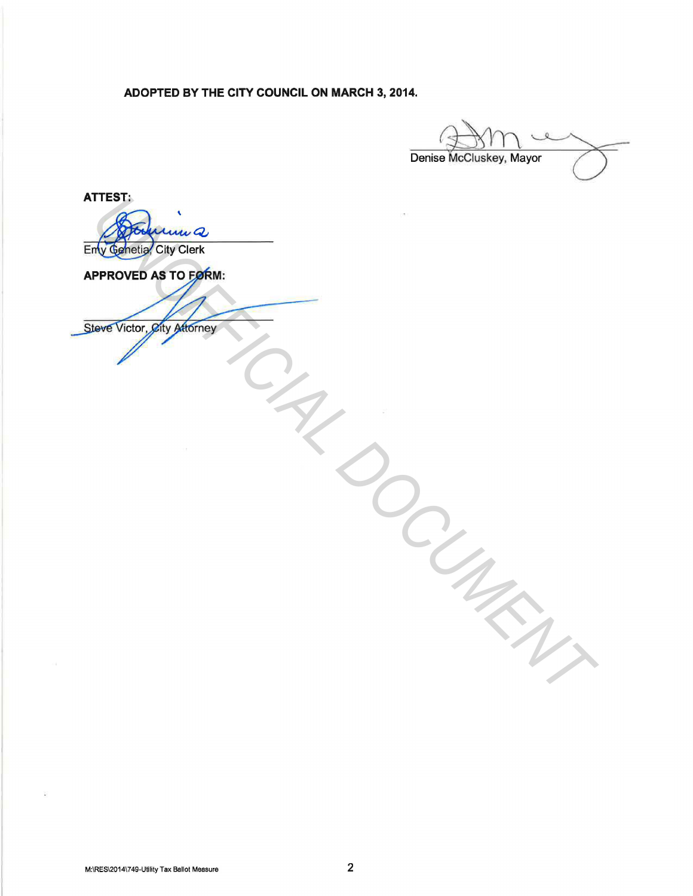**ADOPTED BY THE CITY COUNCIL ON MARCH 3, 2014.** 

Denise McCluskey, Mayor

**ATTEST:** 

Entremand Cling Cling Cling Cling Cling<br>APPROVED AS TO EXPRIME<br>Slower Victor: giky gatement<br>Cling Cling Cling Cling Cling Cling Cling Cling Cling Cling Cling Cling Cling Cling Cling Cling Cling Cling Cling<br>Cling Cling Clin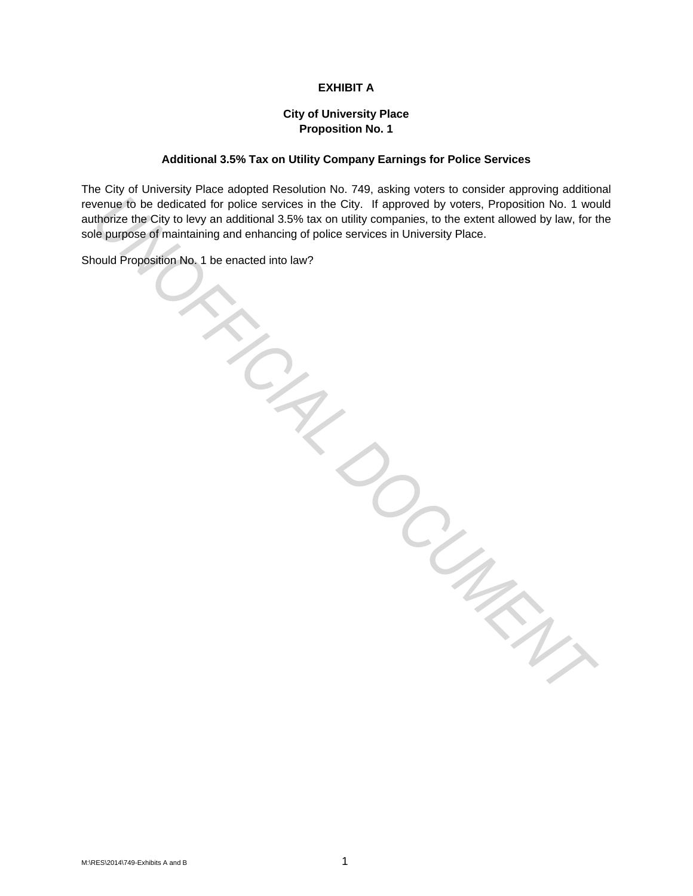# **EXHIBIT A**

# **City of University Place Proposition No. 1**

## **Additional 3.5% Tax on Utility Company Earnings for Police Services**

The City of University Place adopted Resolution No. 749, asking voters to consider approving additional revenue to be dedicated for police services in the City. If approved by voters, Proposition No. 1 would authorize the City to levy an additional 3.5% tax on utility companies, to the extent allowed by law, for the sole purpose of maintaining and enhancing of police services in University Place. WINDOW DOUNKN,

Should Proposition No. 1 be enacted into law?